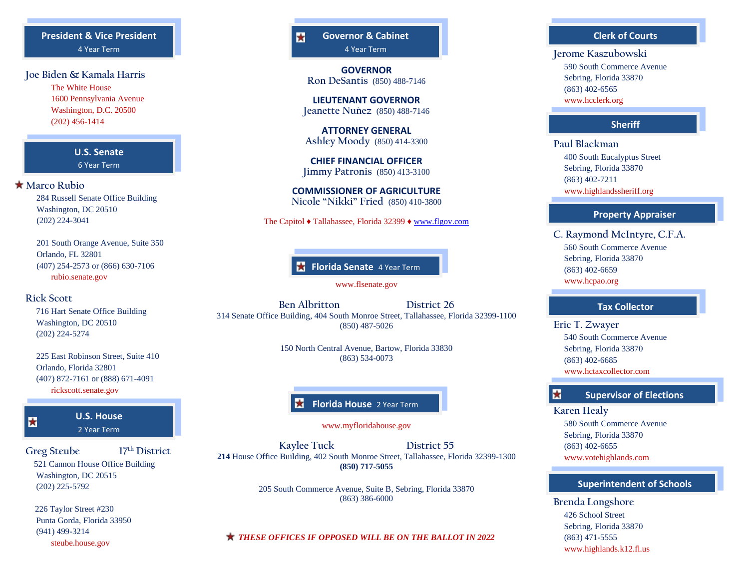## **President & Vice President** 4 Year Term

## **Joe Biden & Kamala Harris**

The White House 1600 Pennsylvania Avenue Washington, D.C. 20500 (202) 456-1414

# **U.S. Senate**

6 Year Term

#### **Marco Rubio**

 284 Russell Senate Office Building Washington, DC 20510 (202) 224-3041

 201 South Orange Avenue, Suite 350 Orlando, FL 32801 (407) 254-2573 or (866) 630-7106 rubio.senate.gov

## **Rick Scott**

佞

 716 Hart Senate Office Building Washington, DC 20510 (202) 224-5274

 225 East Robinson Street, Suite 410 Orlando, Florida 32801 (407) 872-7161 or (888) 671-4091 rickscott.senate.gov

**U.S. House** 2 Year Term

**Greg Steube 17 th District** 521 Cannon House Office Building Washington, DC 20515 (202) 225-5792

 226 Taylor Street #230 Punta Gorda, Florida 33950 (941) 499-3214 steube.house.gov

#### **Governor & Cabinet** 4 Year Term

 $\mathbf{r}$ 

**GOVERNOR Ron DeSantis** (850) 488-7146

**LIEUTENANT GOVERNOR Jeanette Nuñez** (850) 488-7146

**ATTORNEY GENERAL Ashley Moody** (850) 414-3300

**CHIEF FINANCIAL OFFICER Jimmy Patronis** (850) 413-3100

**COMMISSIONER OF AGRICULTURE Nicole "Nikki" Fried** (850) 410-3800

#### The Capitol ♦ Tallahassee, Florida 32399 ♦ [www.flgov.com](http://www.flgov.com/)

**Florida Senate** 4 Year Term

www.flsenate.gov

**Ben Albritton District 26** 314 Senate Office Building, 404 South Monroe Street, Tallahassee, Florida 32399-1100 (850) 487-5026

> 150 North Central Avenue, Bartow, Florida 33830 (863) 534-0073

## **Florida House** 2 Year Term

www.myfloridahouse.gov

**Kaylee Tuck District 55 214** House Office Building, 402 South Monroe Street, Tallahassee, Florida 32399-1300 **(850) 717-5055**

> 205 South Commerce Avenue, Suite B, Sebring, Florida 33870 (863) 386-6000

*THESE OFFICES IF OPPOSED WILL BE ON THE BALLOT IN 2022*

#### **Clerk of Courts**

**Jerome Kaszubowski** 590 South Commerce Avenue Sebring, Florida 33870 (863) 402-6565 www.hcclerk.org

#### **Sheriff**

**Paul Blackman** 400 South Eucalyptus Street Sebring, Florida 33870 (863) 402-7211 www.highlandssheriff.org

#### **Property Appraiser**

**C. Raymond McIntyre, C.F.A.** 560 South Commerce Avenue Sebring, Florida 33870 (863) 402-6659 www.hcpao.org

#### **Tax Collector**

**Eric T. Zwayer** 540 South Commerce Avenue Sebring, Florida 33870 (863) 402-6685 www.hctaxcollector.com

#### **Supervisor of Elections**

#### **Karen Healy**

责

 580 South Commerce Avenue Sebring, Florida 33870 (863) 402-6655 www.votehighlands.com

#### **Superintendent of Schools**

**Brenda Longshore** 426 School Street Sebring, Florida 33870 (863) 471-5555 [www.highlands.k12.fl.us](http://www.highlands.k12.fl.us/)